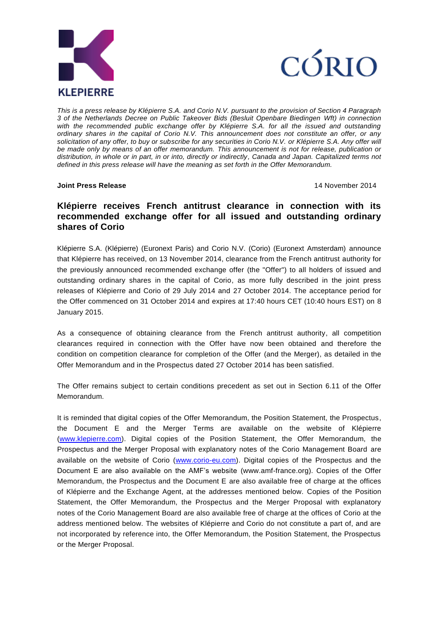



*This is a press release by Klépierre S.A. and Corio N.V. pursuant to the provision of Section 4 Paragraph 3 of the Netherlands Decree on Public Takeover Bids (Besluit Openbare Biedingen Wft) in connection*  with the recommended public exchange offer by Klépierre S.A. for all the issued and outstanding *ordinary shares in the capital of Corio N.V. This announcement does not constitute an offer, or any solicitation of any offer, to buy or subscribe for any securities in Corio N.V. or Klépierre S.A. Any offer will be made only by means of an offer memorandum. This announcement is not for release, publication or distribution, in whole or in part, in or into, directly or indirectly, Canada and Japan. Capitalized terms not defined in this press release will have the meaning as set forth in the Offer Memorandum.*

#### **Joint Press Release** 14 November 2014

# **Klépierre receives French antitrust clearance in connection with its recommended exchange offer for all issued and outstanding ordinary shares of Corio**

Klépierre S.A. (Klépierre) (Euronext Paris) and Corio N.V. (Corio) (Euronext Amsterdam) announce that Klépierre has received, on 13 November 2014, clearance from the French antitrust authority for the previously announced recommended exchange offer (the "Offer") to all holders of issued and outstanding ordinary shares in the capital of Corio, as more fully described in the joint press releases of Klépierre and Corio of 29 July 2014 and 27 October 2014. The acceptance period for the Offer commenced on 31 October 2014 and expires at 17:40 hours CET (10:40 hours EST) on 8 January 2015.

As a consequence of obtaining clearance from the French antitrust authority, all competition clearances required in connection with the Offer have now been obtained and therefore the condition on competition clearance for completion of the Offer (and the Merger), as detailed in the Offer Memorandum and in the Prospectus dated 27 October 2014 has been satisfied.

The Offer remains subject to certain conditions precedent as set out in Section 6.11 of the Offer Memorandum.

It is reminded that digital copies of the Offer Memorandum, the Position Statement, the Prospectus, the Document E and the Merger Terms are available on the website of Klépierre [\(www.klepierre.com\)](http://www.klepierre.com/). Digital copies of the Position Statement, the Offer Memorandum, the Prospectus and the Merger Proposal with explanatory notes of the Corio Management Board are available on the website of Corio [\(www.corio-eu.com\)](http://www.corio-eu.com/). Digital copies of the Prospectus and the Document E are also available on the AMF's website [\(www.amf-france.org\)](http://www.amf-france.org/). Copies of the Offer Memorandum, the Prospectus and the Document E are also available free of charge at the offices of Klépierre and the Exchange Agent, at the addresses mentioned below. Copies of the Position Statement, the Offer Memorandum, the Prospectus and the Merger Proposal with explanatory notes of the Corio Management Board are also available free of charge at the offices of Corio at the address mentioned below. The websites of Klépierre and Corio do not constitute a part of, and are not incorporated by reference into, the Offer Memorandum, the Position Statement, the Prospectus or the Merger Proposal.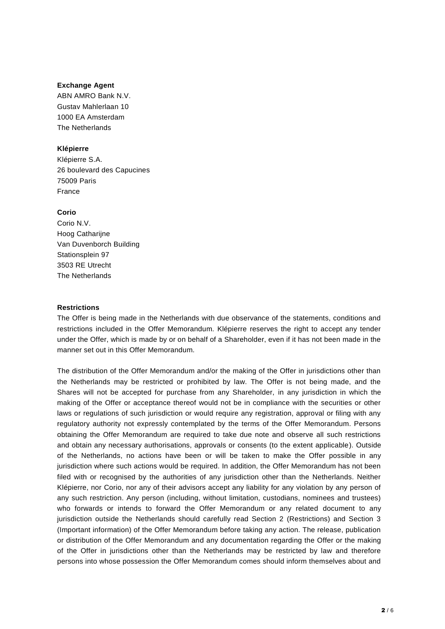#### **Exchange Agent**

ABN AMRO Bank N.V. Gustav Mahlerlaan 10 1000 EA Amsterdam The Netherlands

# **Klépierre**

Klépierre S.A. 26 boulevard des Capucines 75009 Paris France

## **Corio**

Corio N.V. Hoog Catharijne Van Duvenborch Building Stationsplein 97 3503 RE Utrecht The Netherlands

## **Restrictions**

The Offer is being made in the Netherlands with due observance of the statements, conditions and restrictions included in the Offer Memorandum. Klépierre reserves the right to accept any tender under the Offer, which is made by or on behalf of a Shareholder, even if it has not been made in the manner set out in this Offer Memorandum.

The distribution of the Offer Memorandum and/or the making of the Offer in jurisdictions other than the Netherlands may be restricted or prohibited by law. The Offer is not being made, and the Shares will not be accepted for purchase from any Shareholder, in any jurisdiction in which the making of the Offer or acceptance thereof would not be in compliance with the securities or other laws or regulations of such jurisdiction or would require any registration, approval or filing with any regulatory authority not expressly contemplated by the terms of the Offer Memorandum. Persons obtaining the Offer Memorandum are required to take due note and observe all such restrictions and obtain any necessary authorisations, approvals or consents (to the extent applicable). Outside of the Netherlands, no actions have been or will be taken to make the Offer possible in any jurisdiction where such actions would be required. In addition, the Offer Memorandum has not been filed with or recognised by the authorities of any jurisdiction other than the Netherlands. Neither Klépierre, nor Corio, nor any of their advisors accept any liability for any violation by any person of any such restriction. Any person (including, without limitation, custodians, nominees and trustees) who forwards or intends to forward the Offer Memorandum or any related document to any jurisdiction outside the Netherlands should carefully read Section 2 (Restrictions) and Section 3 (Important information) of the Offer Memorandum before taking any action. The release, publication or distribution of the Offer Memorandum and any documentation regarding the Offer or the making of the Offer in jurisdictions other than the Netherlands may be restricted by law and therefore persons into whose possession the Offer Memorandum comes should inform themselves about and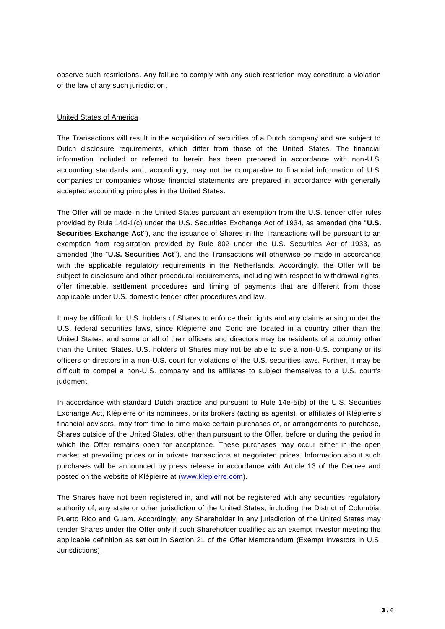observe such restrictions. Any failure to comply with any such restriction may constitute a violation of the law of any such jurisdiction.

#### United States of America

The Transactions will result in the acquisition of securities of a Dutch company and are subject to Dutch disclosure requirements, which differ from those of the United States. The financial information included or referred to herein has been prepared in accordance with non-U.S. accounting standards and, accordingly, may not be comparable to financial information of U.S. companies or companies whose financial statements are prepared in accordance with generally accepted accounting principles in the United States.

The Offer will be made in the United States pursuant an exemption from the U.S. tender offer rules provided by Rule 14d-1(c) under the U.S. Securities Exchange Act of 1934, as amended (the "**U.S. Securities Exchange Act**"), and the issuance of Shares in the Transactions will be pursuant to an exemption from registration provided by Rule 802 under the U.S. Securities Act of 1933, as amended (the "**U.S. Securities Act**"), and the Transactions will otherwise be made in accordance with the applicable regulatory requirements in the Netherlands. Accordingly, the Offer will be subject to disclosure and other procedural requirements, including with respect to withdrawal rights, offer timetable, settlement procedures and timing of payments that are different from those applicable under U.S. domestic tender offer procedures and law.

It may be difficult for U.S. holders of Shares to enforce their rights and any claims arising under the U.S. federal securities laws, since Klépierre and Corio are located in a country other than the United States, and some or all of their officers and directors may be residents of a country other than the United States. U.S. holders of Shares may not be able to sue a non-U.S. company or its officers or directors in a non-U.S. court for violations of the U.S. securities laws. Further, it may be difficult to compel a non-U.S. company and its affiliates to subject themselves to a U.S. court's judament.

In accordance with standard Dutch practice and pursuant to Rule 14e-5(b) of the U.S. Securities Exchange Act, Klépierre or its nominees, or its brokers (acting as agents), or affiliates of Klépierre's financial advisors, may from time to time make certain purchases of, or arrangements to purchase, Shares outside of the United States, other than pursuant to the Offer, before or during the period in which the Offer remains open for acceptance. These purchases may occur either in the open market at prevailing prices or in private transactions at negotiated prices. Information about such purchases will be announced by press release in accordance with Article 13 of the Decree and posted on the website of Klépierre at [\(www.klepierre.com\)](http://www.klepierre.com/).

The Shares have not been registered in, and will not be registered with any securities regulatory authority of, any state or other jurisdiction of the United States, including the District of Columbia, Puerto Rico and Guam. Accordingly, any Shareholder in any jurisdiction of the United States may tender Shares under the Offer only if such Shareholder qualifies as an exempt investor meeting the applicable definition as set out in Section 21 of the Offer Memorandum (Exempt investors in U.S. Jurisdictions).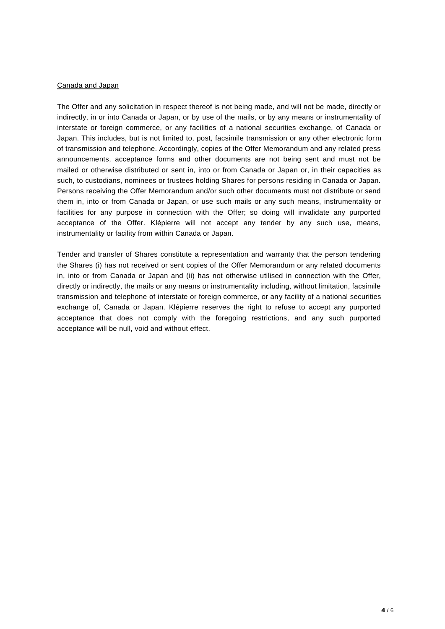#### Canada and Japan

The Offer and any solicitation in respect thereof is not being made, and will not be made, directly or indirectly, in or into Canada or Japan, or by use of the mails, or by any means or instrumentality of interstate or foreign commerce, or any facilities of a national securities exchange, of Canada or Japan. This includes, but is not limited to, post, facsimile transmission or any other electronic form of transmission and telephone. Accordingly, copies of the Offer Memorandum and any related press announcements, acceptance forms and other documents are not being sent and must not be mailed or otherwise distributed or sent in, into or from Canada or Japan or, in their capacities as such, to custodians, nominees or trustees holding Shares for persons residing in Canada or Japan. Persons receiving the Offer Memorandum and/or such other documents must not distribute or send them in, into or from Canada or Japan, or use such mails or any such means, instrumentality or facilities for any purpose in connection with the Offer; so doing will invalidate any purported acceptance of the Offer. Klépierre will not accept any tender by any such use, means, instrumentality or facility from within Canada or Japan.

Tender and transfer of Shares constitute a representation and warranty that the person tendering the Shares (i) has not received or sent copies of the Offer Memorandum or any related documents in, into or from Canada or Japan and (ii) has not otherwise utilised in connection with the Offer, directly or indirectly, the mails or any means or instrumentality including, without limitation, facsimile transmission and telephone of interstate or foreign commerce, or any facility of a national securities exchange of, Canada or Japan. Klépierre reserves the right to refuse to accept any purported acceptance that does not comply with the foregoing restrictions, and any such purported acceptance will be null, void and without effect.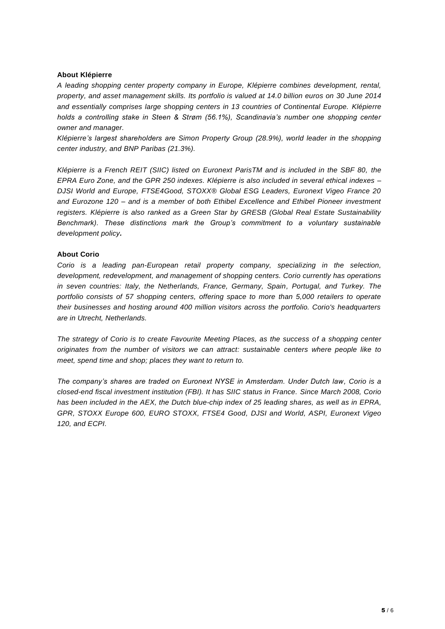## **About Klépierre**

*A leading shopping center property company in Europe, Klépierre combines development, rental, property, and asset management skills. Its portfolio is valued at 14.0 billion euros on 30 June 2014 and essentially comprises large shopping centers in 13 countries of Continental Europe. Klépierre holds a controlling stake in Steen & Strøm (56.1%), Scandinavia's number one shopping center owner and manager.*

*Klépierre's largest shareholders are Simon Property Group (28.9%), world leader in the shopping center industry, and BNP Paribas (21.3%).*

*Klépierre is a French REIT (SIIC) listed on Euronext ParisTM and is included in the SBF 80, the EPRA Euro Zone, and the GPR 250 indexes. Klépierre is also included in several ethical indexes – DJSI World and Europe, FTSE4Good, STOXX® Global ESG Leaders, Euronext Vigeo France 20 and Eurozone 120 – and is a member of both Ethibel Excellence and Ethibel Pioneer investment registers. Klépierre is also ranked as a Green Star by GRESB (Global Real Estate Sustainability Benchmark). These distinctions mark the Group's commitment to a voluntary sustainable development policy.*

## **About Corio**

*Corio is a leading pan-European retail property company, specializing in the selection, development, redevelopment, and management of shopping centers. Corio currently has operations in seven countries: Italy, the Netherlands, France, Germany, Spain, Portugal, and Turkey. The portfolio consists of 57 shopping centers, offering space to more than 5,000 retailers to operate their businesses and hosting around 400 million visitors across the portfolio. Corio's headquarters are in Utrecht, Netherlands.*

*The strategy of Corio is to create Favourite Meeting Places, as the success of a shopping center originates from the number of visitors we can attract: sustainable centers where people like to meet, spend time and shop; places they want to return to.* 

*The company's shares are traded on Euronext NYSE in Amsterdam. Under Dutch law, Corio is a closed-end fiscal investment institution (FBI). It has SIIC status in France. Since March 2008, Corio*  has been included in the AEX, the Dutch blue-chip index of 25 leading shares, as well as in *EPRA*, *GPR, STOXX Europe 600, EURO STOXX, FTSE4 Good, DJSI and World, ASPI, Euronext Vigeo 120, and ECPI.*